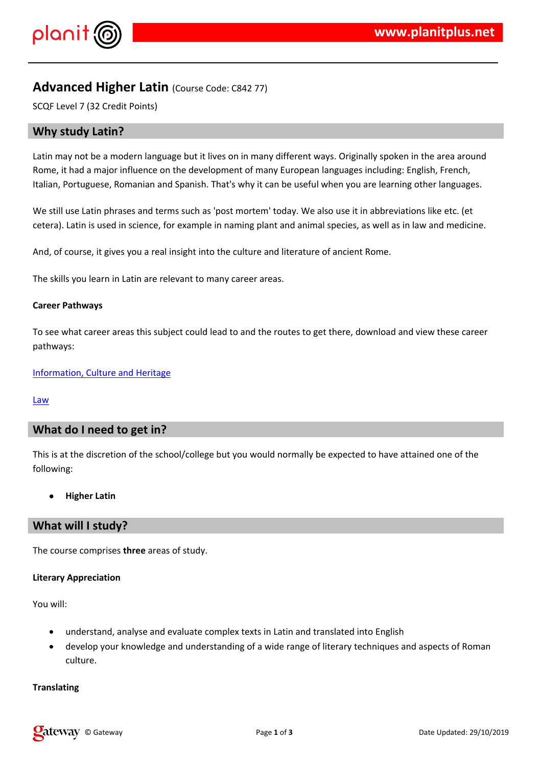## $!$  " # \$ % & & '

 $3$   $$8$   $'$  / ('&' '& -\* 4 - \$1') \$  $\text{\$}$  '&-' \$'

 $\star$  " & ' &  $\star$  & 7 (1 \$ \beta ' \beta ' \beta ' \beta ' \beta ' \beta ' \beta ' \beta ' \beta ' \beta ' \beta ' \beta ' \beta ' \beta ' \beta ' \beta ' \beta ' \beta ' \beta ' \beta ' \beta ' \beta ' \beta ' \beta ' \b  $1 -$ 

8' / 1 8 / 8 # \$ 8 ' 8 - 18\$ ' \$ 8

 $4 - 8$ \$\$\$\$\$'&'"&''' 1 \$#' \*

 $\star$ 

 $3'$  (  $8'$  /  $$9$   $8'$ 

 $\mathbf{0}_{\mathrm{max}}$ 

 $4 - 8$   $8$   $8$   $1 - 1 - 8$   $5$   $1$   $5$   $5$   $)$   $5$   $'$  (  $5$ ) $5$   $7$   $1$   $\#$   $8$   $'$   $'$  $$S$  &'

 $4 - 1$   $1 (8$ 

 $8$ \$\$

 $\sim 10^{-10}$  $'$  /  $'$  \$ #' \$ 1 ( \$ 7 '& ' &' ' ' \$ 2 ' \$88' - $# S$  $1 \text{ }$ \$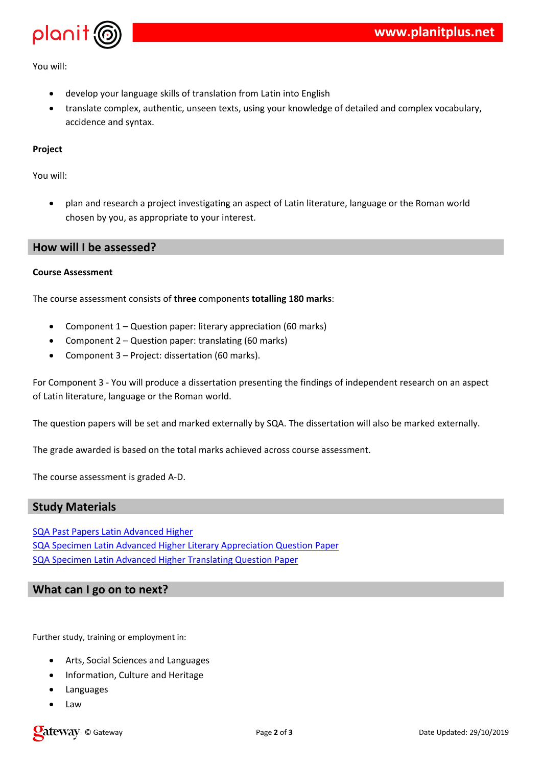$8$ \$\$

& 1\$ ( \$' 7 # 1 ) \$  $118$  '1 ' ' 7\*

 $8$ \$\$

 $4 - 1$  ( '  $1$  ' &  $1$  ( ' '  $\qquad$  # \$ " %

 $($   $)$   $($   $)$   $($   $)$   $($   $)$   $($   $)$   $($   $)$   $($   $)$   $($   $)$   $($   $)$   $($   $)$   $($   $)$   $($   $)$   $($   $)$   $($   $)$   $($   $)$   $($   $)$   $($   $)$   $($   $)$   $($   $)$   $($   $)$   $($   $)$   $($   $)$   $($   $)$   $($   $)$   $($   $)$   $($   $)$   $($   $)$   $($   $<$  8' \$8 18 8 (  $=$ 

 $\frac{1}{1}$  ( ''% > : & \$ \$ & 1 & ''&' - & '&" '' 1'- '1  $88$   $/5$   $($   $5 *$ 

4-; & ') & \$\$(, 7 '\$\$) 4 - 8 \* & \ ) & \$\$\$\$\$\$7 '\$\$ 8. ) - '(\$, 1 - 8. # 1 1  $\begin{pmatrix} 1 & x \\ y & z \end{pmatrix}$ 

 $4 - 1$   $($   $88 > 1)$ 

 $8'$   $'$ 

 $4 -$ 

 $\begin{array}{cccccccc}\n\cdot & 8 & 8 & \text{\#} & 1 & 9 & \text{\&} & \text{\&} & \text{\&} & \text{\&} & \text{\&} & \text{\&} & \text{\&} & \text{\&} & \text{\&} & \text{\&} & \text{\&} & \text{\&} & \text{\&} & \text{\&} & \text{\&} & \text{\&} & \text{\&} & \text{\&} & \text{\&} & \text{\&} & \text{\&} & \text{\&} & \text{\&} & \text{\&} & \text{\&} & \text{\&} & \text{\&} & \text{\&} & \text{\&} & \text{\&} & \text{\&} & \text{\&$  $\overline{\mathbf{8}}$ 8 1& ("' & ' 8 # 9 & - " & 8 1 & & ' & '  $18("88 #98 -4 "58" 8"$  $8<sup>1</sup>$ 

 $!$  - / &  $'$  &  $\frac{1}{2}$  (  $'$  &  $'$ 

8 / 1& \$ 1&" "1 '  $3'$  (  $8'5'$  ' 9 &  $\mathbf{0}=\mathbf{0}$  $\mathbf{H}$